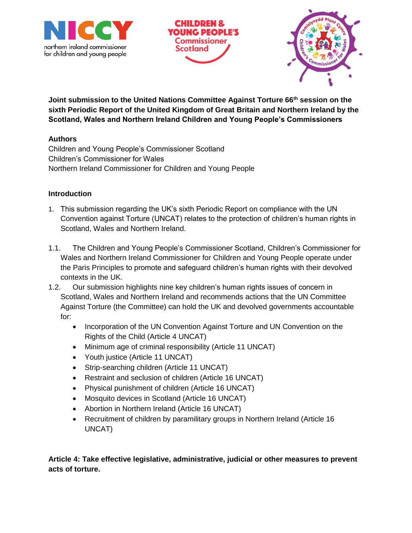



**Joint submission to the United Nations Committee Against Torture 66th session on the sixth Periodic Report of the United Kingdom of Great Britain and Northern Ireland by the Scotland, Wales and Northern Ireland Children and Young People's Commissioners**

## **Authors**

Children and Young People's Commissioner Scotland Children's Commissioner for Wales Northern Ireland Commissioner for Children and Young People

## **Introduction**

- 1. This submission regarding the UK's sixth Periodic Report on compliance with the UN Convention against Torture (UNCAT) relates to the protection of children's human rights in Scotland, Wales and Northern Ireland.
- 1.1. The Children and Young People's Commissioner Scotland, Children's Commissioner for Wales and Northern Ireland Commissioner for Children and Young People operate under the Paris Principles to promote and safeguard children's human rights with their devolved contexts in the UK.
- 1.2. Our submission highlights nine key children's human rights issues of concern in Scotland, Wales and Northern Ireland and recommends actions that the UN Committee Against Torture (the Committee) can hold the UK and devolved governments accountable for:
	- Incorporation of the UN Convention Against Torture and UN Convention on the Rights of the Child (Article 4 UNCAT)
	- Minimum age of criminal responsibility (Article 11 UNCAT)
	- Youth justice (Article 11 UNCAT)
	- Strip-searching children (Article 11 UNCAT)
	- Restraint and seclusion of children (Article 16 UNCAT)
	- Physical punishment of children (Article 16 UNCAT)
	- Mosquito devices in Scotland (Article 16 UNCAT)
	- Abortion in Northern Ireland (Article 16 UNCAT)
	- Recruitment of children by paramilitary groups in Northern Ireland (Article 16 UNCAT)

**Article 4: Take effective legislative, administrative, judicial or other measures to prevent acts of torture.**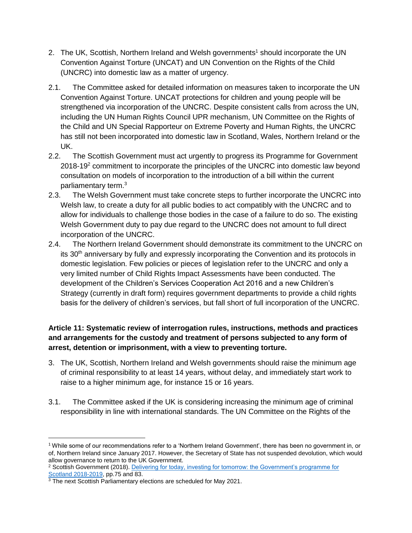- 2. The UK, Scottish, Northern Ireland and Welsh governments<sup>1</sup> should incorporate the UN Convention Against Torture (UNCAT) and UN Convention on the Rights of the Child (UNCRC) into domestic law as a matter of urgency.
- 2.1. The Committee asked for detailed information on measures taken to incorporate the UN Convention Against Torture. UNCAT protections for children and young people will be strengthened via incorporation of the UNCRC. Despite consistent calls from across the UN, including the UN Human Rights Council UPR mechanism, UN Committee on the Rights of the Child and UN Special Rapporteur on Extreme Poverty and Human Rights, the UNCRC has still not been incorporated into domestic law in Scotland, Wales, Northern Ireland or the UK.
- 2.2. The Scottish Government must act urgently to progress its Programme for Government 2018-19<sup>2</sup> commitment to incorporate the principles of the UNCRC into domestic law beyond consultation on models of incorporation to the introduction of a bill within the current parliamentary term. 3
- 2.3. The Welsh Government must take concrete steps to further incorporate the UNCRC into Welsh law, to create a duty for all public bodies to act compatibly with the UNCRC and to allow for individuals to challenge those bodies in the case of a failure to do so. The existing Welsh Government duty to pay due regard to the UNCRC does not amount to full direct incorporation of the UNCRC.
- 2.4. The Northern Ireland Government should demonstrate its commitment to the UNCRC on its 30<sup>th</sup> anniversary by fully and expressly incorporating the Convention and its protocols in domestic legislation. Few policies or pieces of legislation refer to the UNCRC and only a very limited number of Child Rights Impact Assessments have been conducted. The development of the Children's Services Cooperation Act 2016 and a new Children's Strategy (currently in draft form) requires government departments to provide a child rights basis for the delivery of children's services, but fall short of full incorporation of the UNCRC.

# **Article 11: Systematic review of interrogation rules, instructions, methods and practices and arrangements for the custody and treatment of persons subjected to any form of arrest, detention or imprisonment, with a view to preventing torture.**

- 3. The UK, Scottish, Northern Ireland and Welsh governments should raise the minimum age of criminal responsibility to at least 14 years, without delay, and immediately start work to raise to a higher minimum age, for instance 15 or 16 years.
- 3.1. The Committee asked if the UK is considering increasing the minimum age of criminal responsibility in line with international standards. The UN Committee on the Rights of the

 $\overline{a}$ 

 $1$  While some of our recommendations refer to a 'Northern Ireland Government', there has been no government in, or of, Northern Ireland since January 2017. However, the Secretary of State has not suspended devolution, which would allow governance to return to the UK Government.

<sup>&</sup>lt;sup>2</sup> Scottish Government (2018). Delivering for today, investing for tomorrow: the Government's programme for [Scotland 2018-2019,](https://www.gov.scot/publications/delivering-today-investing-tomorrow-governments-programme-scotland-2018-19/) pp.75 and 83.

<sup>&</sup>lt;sup>3</sup> The next Scottish Parliamentary elections are scheduled for May 2021.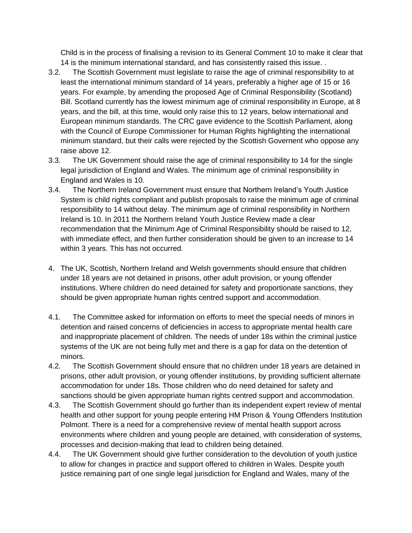Child is in the process of finalising a revision to its General Comment 10 to make it clear that 14 is the minimum international standard, and has consistently raised this issue. .

- 3.2. The Scottish Government must legislate to raise the age of criminal responsibility to at least the international minimum standard of 14 years, preferably a higher age of 15 or 16 years. For example, by amending the proposed Age of Criminal Responsibility (Scotland) Bill. Scotland currently has the lowest minimum age of criminal responsibility in Europe, at 8 years, and the bill, at this time, would only raise this to 12 years, below international and European minimum standards. The CRC gave evidence to the Scottish Parliament, along with the Council of Europe Commissioner for Human Rights highlighting the international minimum standard, but their calls were rejected by the Scottish Governent who oppose any raise above 12.
- 3.3. The UK Government should raise the age of criminal responsibility to 14 for the single legal jurisdiction of England and Wales. The minimum age of criminal responsibility in England and Wales is 10.
- 3.4. The Northern Ireland Government must ensure that Northern Ireland's Youth Justice System is child rights compliant and publish proposals to raise the minimum age of criminal responsibility to 14 without delay. The minimum age of criminal responsibility in Northern Ireland is 10. In 2011 the Northern Ireland Youth Justice Review made a clear recommendation that the Minimum Age of Criminal Responsibility should be raised to 12, with immediate effect, and then further consideration should be given to an increase to 14 within 3 years. This has not occurred.
- 4. The UK, Scottish, Northern Ireland and Welsh governments should ensure that children under 18 years are not detained in prisons, other adult provision, or young offender institutions. Where children do need detained for safety and proportionate sanctions, they should be given appropriate human rights centred support and accommodation.
- 4.1. The Committee asked for information on efforts to meet the special needs of minors in detention and raised concerns of deficiencies in access to appropriate mental health care and inappropriate placement of children. The needs of under 18s within the criminal justice systems of the UK are not being fully met and there is a gap for data on the detention of minors.
- 4.2. The Scottish Government should ensure that no children under 18 years are detained in prisons, other adult provision, or young offender institutions, by providing sufficient alternate accommodation for under 18s. Those children who do need detained for safety and sanctions should be given appropriate human rights centred support and accommodation.
- 4.3. The Scottish Government should go further than its independent expert review of mental health and other support for young people entering HM Prison & Young Offenders Institution Polmont. There is a need for a comprehensive review of mental health support across environments where children and young people are detained, with consideration of systems, processes and decision-making that lead to children being detained.
- 4.4. The UK Government should give further consideration to the devolution of youth justice to allow for changes in practice and support offered to children in Wales. Despite youth justice remaining part of one single legal jurisdiction for England and Wales, many of the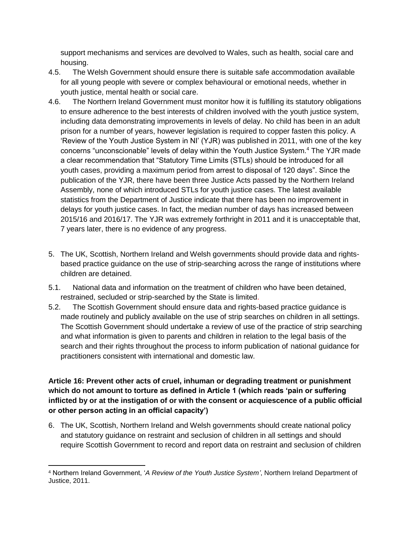support mechanisms and services are devolved to Wales, such as health, social care and housing.

- 4.5. The Welsh Government should ensure there is suitable safe accommodation available for all young people with severe or complex behavioural or emotional needs, whether in youth justice, mental health or social care.
- 4.6. The Northern Ireland Government must monitor how it is fulfilling its statutory obligations to ensure adherence to the best interests of children involved with the youth justice system, including data demonstrating improvements in levels of delay. No child has been in an adult prison for a number of years, however legislation is required to copper fasten this policy. A 'Review of the Youth Justice System in NI' (YJR) was published in 2011, with one of the key concerns "unconscionable" levels of delay within the Youth Justice System.<sup>4</sup> The YJR made a clear recommendation that "Statutory Time Limits (STLs) should be introduced for all youth cases, providing a maximum period from arrest to disposal of 120 days". Since the publication of the YJR, there have been three Justice Acts passed by the Northern Ireland Assembly, none of which introduced STLs for youth justice cases. The latest available statistics from the Department of Justice indicate that there has been no improvement in delays for youth justice cases. In fact, the median number of days has increased between 2015/16 and 2016/17. The YJR was extremely forthright in 2011 and it is unacceptable that, 7 years later, there is no evidence of any progress.
- 5. The UK, Scottish, Northern Ireland and Welsh governments should provide data and rightsbased practice guidance on the use of strip-searching across the range of institutions where children are detained.
- 5.1. National data and information on the treatment of children who have been detained, restrained, secluded or strip-searched by the State is limited.
- 5.2. The Scottish Government should ensure data and rights-based practice guidance is made routinely and publicly available on the use of strip searches on children in all settings. The Scottish Government should undertake a review of use of the practice of strip searching and what information is given to parents and children in relation to the legal basis of the search and their rights throughout the process to inform publication of national guidance for practitioners consistent with international and domestic law.

# **Article 16: Prevent other acts of cruel, inhuman or degrading treatment or punishment which do not amount to torture as defined in Article 1 (which reads 'pain or suffering inflicted by or at the instigation of or with the consent or acquiescence of a public official or other person acting in an official capacity')**

6. The UK, Scottish, Northern Ireland and Welsh governments should create national policy and statutory guidance on restraint and seclusion of children in all settings and should require Scottish Government to record and report data on restraint and seclusion of children

 $\overline{a}$ 

<sup>4</sup> Northern Ireland Government, '*A Review of the Youth Justice System'*, Northern Ireland Department of Justice, 2011.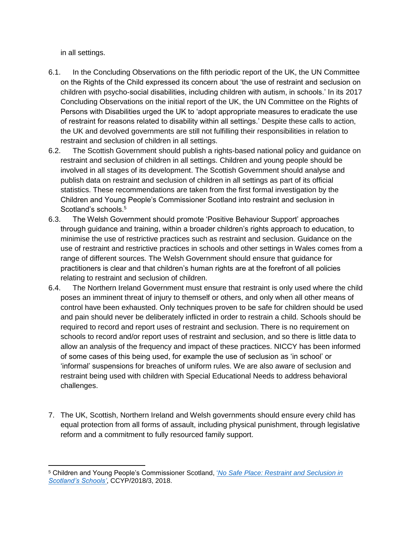in all settings.

 $\overline{a}$ 

- 6.1. In the Concluding Observations on the fifth periodic report of the UK, the UN Committee on the Rights of the Child expressed its concern about 'the use of restraint and seclusion on children with psycho-social disabilities, including children with autism, in schools.' In its 2017 Concluding Observations on the initial report of the UK, the UN Committee on the Rights of Persons with Disabilities urged the UK to 'adopt appropriate measures to eradicate the use of restraint for reasons related to disability within all settings.' Despite these calls to action, the UK and devolved governments are still not fulfilling their responsibilities in relation to restraint and seclusion of children in all settings.
- 6.2. The Scottish Government should publish a rights-based national policy and guidance on restraint and seclusion of children in all settings. Children and young people should be involved in all stages of its development. The Scottish Government should analyse and publish data on restraint and seclusion of children in all settings as part of its official statistics. These recommendations are taken from the first formal investigation by the Children and Young People's Commissioner Scotland into restraint and seclusion in Scotland's schools.<sup>5</sup>
- 6.3. The Welsh Government should promote 'Positive Behaviour Support' approaches through guidance and training, within a broader children's rights approach to education, to minimise the use of restrictive practices such as restraint and seclusion. Guidance on the use of restraint and restrictive practices in schools and other settings in Wales comes from a range of different sources. The Welsh Government should ensure that guidance for practitioners is clear and that children's human rights are at the forefront of all policies relating to restraint and seclusion of children.
- 6.4. The Northern Ireland Government must ensure that restraint is only used where the child poses an imminent threat of injury to themself or others, and only when all other means of control have been exhausted. Only techniques proven to be safe for children should be used and pain should never be deliberately inflicted in order to restrain a child. Schools should be required to record and report uses of restraint and seclusion. There is no requirement on schools to record and/or report uses of restraint and seclusion, and so there is little data to allow an analysis of the frequency and impact of these practices. NICCY has been informed of some cases of this being used, for example the use of seclusion as 'in school' or 'informal' suspensions for breaches of uniform rules. We are also aware of seclusion and restraint being used with children with Special Educational Needs to address behavioral challenges.
- 7. The UK, Scottish, Northern Ireland and Welsh governments should ensure every child has equal protection from all forms of assault, including physical punishment, through legislative reform and a commitment to fully resourced family support.

<sup>5</sup> Children and Young People's Commissioner Scotland, '*[No Safe Place: Restraint and Seclusion in](https://www.cypcs.org.uk/ufiles/No-Safe-Place.pdf)  [Scotland's Schools'](https://www.cypcs.org.uk/ufiles/No-Safe-Place.pdf)*, CCYP/2018/3, 2018.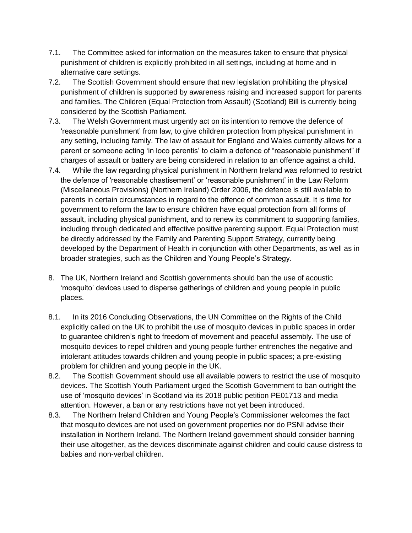- 7.1. The Committee asked for information on the measures taken to ensure that physical punishment of children is explicitly prohibited in all settings, including at home and in alternative care settings.
- 7.2. The Scottish Government should ensure that new legislation prohibiting the physical punishment of children is supported by awareness raising and increased support for parents and families. The Children (Equal Protection from Assault) (Scotland) Bill is currently being considered by the Scottish Parliament.
- 7.3. The Welsh Government must urgently act on its intention to remove the defence of 'reasonable punishment' from law, to give children protection from physical punishment in any setting, including family. The law of assault for England and Wales currently allows for a parent or someone acting 'in loco parentis' to claim a defence of "reasonable punishment" if charges of assault or battery are being considered in relation to an offence against a child.
- 7.4. While the law regarding physical punishment in Northern Ireland was reformed to restrict the defence of 'reasonable chastisement' or 'reasonable punishment' in the Law Reform (Miscellaneous Provisions) (Northern Ireland) Order 2006, the defence is still available to parents in certain circumstances in regard to the offence of common assault. It is time for government to reform the law to ensure children have equal protection from all forms of assault, including physical punishment, and to renew its commitment to supporting families, including through dedicated and effective positive parenting support. Equal Protection must be directly addressed by the Family and Parenting Support Strategy, currently being developed by the Department of Health in conjunction with other Departments, as well as in broader strategies, such as the Children and Young People's Strategy.
- 8. The UK, Northern Ireland and Scottish governments should ban the use of acoustic 'mosquito' devices used to disperse gatherings of children and young people in public places.
- 8.1. In its 2016 Concluding Observations, the UN Committee on the Rights of the Child explicitly called on the UK to prohibit the use of mosquito devices in public spaces in order to guarantee children's right to freedom of movement and peaceful assembly. The use of mosquito devices to repel children and young people further entrenches the negative and intolerant attitudes towards children and young people in public spaces; a pre-existing problem for children and young people in the UK.
- 8.2. The Scottish Government should use all available powers to restrict the use of mosquito devices. The Scottish Youth Parliament urged the Scottish Government to ban outright the use of 'mosquito devices' in Scotland via its 2018 public petition PE01713 and media attention. However, a ban or any restrictions have not yet been introduced.
- 8.3. The Northern Ireland Children and Young People's Commissioner welcomes the fact that mosquito devices are not used on government properties nor do PSNI advise their installation in Northern Ireland. The Northern Ireland government should consider banning their use altogether, as the devices discriminate against children and could cause distress to babies and non-verbal children.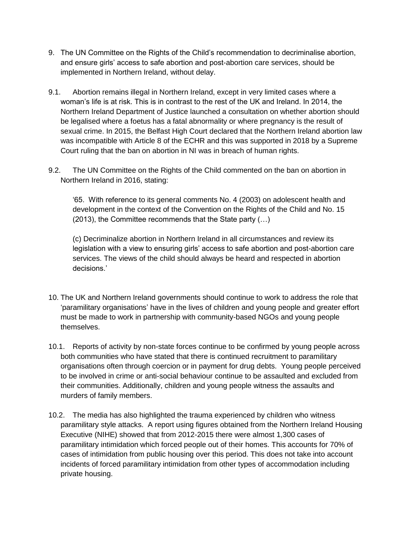- 9. The UN Committee on the Rights of the Child's recommendation to decriminalise abortion, and ensure girls' access to safe abortion and post-abortion care services, should be implemented in Northern Ireland, without delay.
- 9.1. Abortion remains illegal in Northern Ireland, except in very limited cases where a woman's life is at risk. This is in contrast to the rest of the UK and Ireland. In 2014, the Northern Ireland Department of Justice launched a consultation on whether abortion should be legalised where a foetus has a fatal abnormality or where pregnancy is the result of sexual crime. In 2015, the Belfast High Court declared that the Northern Ireland abortion law was incompatible with Article 8 of the ECHR and this was supported in 2018 by a Supreme Court ruling that the ban on abortion in NI was in breach of human rights.
- 9.2. The UN Committee on the Rights of the Child commented on the ban on abortion in Northern Ireland in 2016, stating:

'65. With reference to its general comments No. 4 (2003) on adolescent health and development in the context of the Convention on the Rights of the Child and No. 15 (2013), the Committee recommends that the State party (…)

(c) Decriminalize abortion in Northern Ireland in all circumstances and review its legislation with a view to ensuring girls' access to safe abortion and post-abortion care services. The views of the child should always be heard and respected in abortion decisions.'

- 10. The UK and Northern Ireland governments should continue to work to address the role that 'paramilitary organisations' have in the lives of children and young people and greater effort must be made to work in partnership with community-based NGOs and young people themselves.
- 10.1. Reports of activity by non-state forces continue to be confirmed by young people across both communities who have stated that there is continued recruitment to paramilitary organisations often through coercion or in payment for drug debts. Young people perceived to be involved in crime or anti-social behaviour continue to be assaulted and excluded from their communities. Additionally, children and young people witness the assaults and murders of family members.
- 10.2. The media has also highlighted the trauma experienced by children who witness paramilitary style attacks. A report using figures obtained from the Northern Ireland Housing Executive (NIHE) showed that from 2012-2015 there were almost 1,300 cases of paramilitary intimidation which forced people out of their homes. This accounts for 70% of cases of intimidation from public housing over this period. This does not take into account incidents of forced paramilitary intimidation from other types of accommodation including private housing.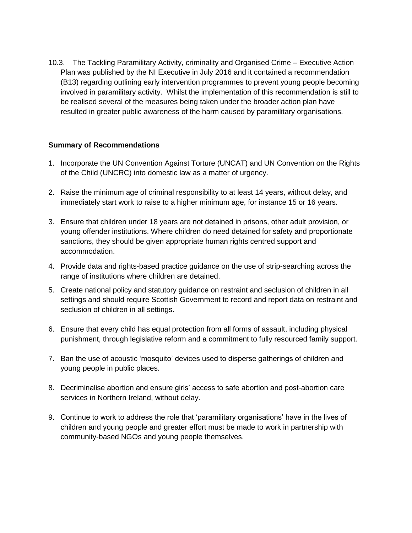10.3. The Tackling Paramilitary Activity, criminality and Organised Crime – Executive Action Plan was published by the NI Executive in July 2016 and it contained a recommendation (B13) regarding outlining early intervention programmes to prevent young people becoming involved in paramilitary activity. Whilst the implementation of this recommendation is still to be realised several of the measures being taken under the broader action plan have resulted in greater public awareness of the harm caused by paramilitary organisations.

### **Summary of Recommendations**

- 1. Incorporate the UN Convention Against Torture (UNCAT) and UN Convention on the Rights of the Child (UNCRC) into domestic law as a matter of urgency.
- 2. Raise the minimum age of criminal responsibility to at least 14 years, without delay, and immediately start work to raise to a higher minimum age, for instance 15 or 16 years.
- 3. Ensure that children under 18 years are not detained in prisons, other adult provision, or young offender institutions. Where children do need detained for safety and proportionate sanctions, they should be given appropriate human rights centred support and accommodation.
- 4. Provide data and rights-based practice guidance on the use of strip-searching across the range of institutions where children are detained.
- 5. Create national policy and statutory guidance on restraint and seclusion of children in all settings and should require Scottish Government to record and report data on restraint and seclusion of children in all settings.
- 6. Ensure that every child has equal protection from all forms of assault, including physical punishment, through legislative reform and a commitment to fully resourced family support.
- 7. Ban the use of acoustic 'mosquito' devices used to disperse gatherings of children and young people in public places.
- 8. Decriminalise abortion and ensure girls' access to safe abortion and post-abortion care services in Northern Ireland, without delay.
- 9. Continue to work to address the role that 'paramilitary organisations' have in the lives of children and young people and greater effort must be made to work in partnership with community-based NGOs and young people themselves.